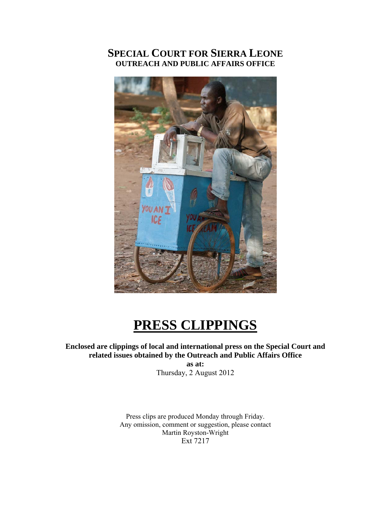# **SPECIAL COURT FOR SIERRA LEONE OUTREACH AND PUBLIC AFFAIRS OFFICE**



# **PRESS CLIPPINGS**

**Enclosed are clippings of local and international press on the Special Court and related issues obtained by the Outreach and Public Affairs Office** 

**as at:**  Thursday, 2 August 2012

Press clips are produced Monday through Friday. Any omission, comment or suggestion, please contact Martin Royston-Wright Ext 7217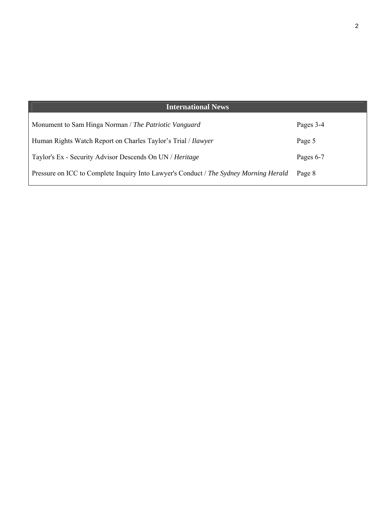| <b>International News</b>                                                             |           |
|---------------------------------------------------------------------------------------|-----------|
| Monument to Sam Hinga Norman / The Patriotic Vanguard                                 | Pages 3-4 |
| Human Rights Watch Report on Charles Taylor's Trial / <i>Ilawyer</i>                  | Page 5    |
| Taylor's Ex - Security Advisor Descends On UN / Heritage                              | Pages 6-7 |
| Pressure on ICC to Complete Inquiry Into Lawyer's Conduct / The Sydney Morning Herald | Page 8    |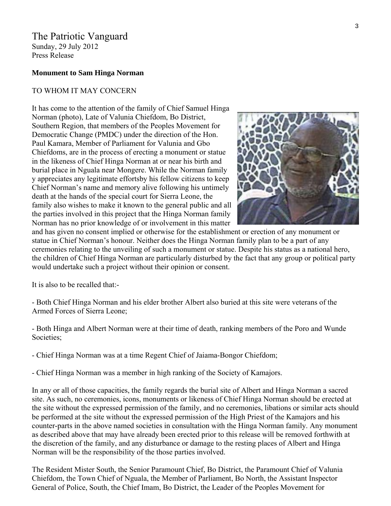## The Patriotic Vanguard Sunday, 29 July 2012 Press Release

#### **Monument to Sam Hinga Norman**

#### TO WHOM IT MAY CONCERN

It has come to the attention of the family of Chief Samuel Hinga Norman (photo), Late of Valunia Chiefdom, Bo District, Southern Region, that members of the Peoples Movement for Democratic Change (PMDC) under the direction of the Hon. Paul Kamara, Member of Parliament for Valunia and Gbo Chiefdoms, are in the process of erecting a monument or statue in the likeness of Chief Hinga Norman at or near his birth and burial place in Nguala near Mongere. While the Norman family y appreciates any legitimate effortsby his fellow citizens to keep Chief Norman's name and memory alive following his untimely death at the hands of the special court for Sierra Leone, the family also wishes to make it known to the general public and a ll the parties involved in this project that the Hinga Norman fam ily Norman has no prior knowledge of or involvement in this matter



and has given no consent implied or otherwise for the establishment or erection of any monument or statue in Chief Norman's honour. Neither does the Hinga Norman family plan to be a part of any ceremonies relating to the unveiling of such a monument or statue. Despite his status as a national hero, the children of Chief Hinga Norman are particularly disturbed by the fact that any group or political party would undertake such a project without their opinion or consent.

It is also to be recalled that:-

- Both Chief Hinga Norman and his elder brother Albert also buried at this site were veterans of the Armed Forces of Sierra Leone;

- Both Hinga and Albert Norman were at their time of death, ranking members of the Poro and Wunde Societies;

- Chief Hinga Norman was at a time Regent Chief of Jaiama-Bongor Chiefdom;

- Chief Hinga Norman was a member in high ranking of the Society of Kamajors.

In any or all of those capacities, the family regards the burial site of Albert and Hinga Norman a sacred site. As such, no ceremonies, icons, monuments or likeness of Chief Hinga Norman should be erected at the site without the expressed permission of the family, and no ceremonies, libations or similar acts should be performed at the site without the expressed permission of the High Priest of the Kamajors and his counter-parts in the above named societies in consultation with the Hinga Norman family. Any monument as described above that may have already been erected prior to this release will be removed forthwith at the discretion of the family, and any disturbance or damage to the resting places of Albert and Hinga Norman will be the responsibility of the those parties involved.

The Resident Mister South, the Senior Paramount Chief, Bo District, the Paramount Chief of Valunia Chiefdom, the Town Chief of Nguala, the Member of Parliament, Bo North, the Assistant Inspector General of Police, South, the Chief Imam, Bo District, the Leader of the Peoples Movement for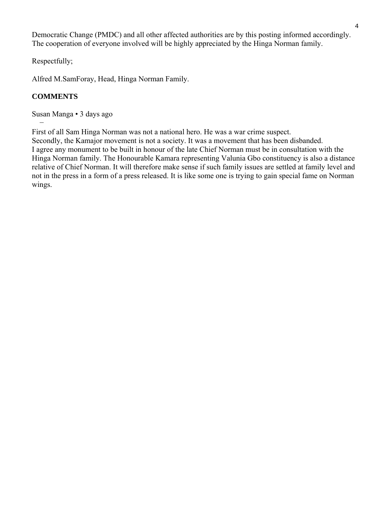Democratic Change (PMDC) and all other affected authorities are by this posting informed accordingly. The cooperation of everyone involved will be highly appreciated by the Hinga Norman family.

Respectfully;

Alfred M.SamForay, Head, Hinga Norman Family.

# **COMMENTS**

−

Susan Manga • 3 days ago

First of all Sam Hinga Norman was not a national hero. He was a war crime suspect.

Secondly, the Kamajor movement is not a society. It was a movement that has been disbanded. I agree any monument to be built in honour of the late Chief Norman must be in consultation with the Hinga Norman family. The Honourable Kamara representing Valunia Gbo constituency is also a distance relative of Chief Norman. It will therefore make sense if such family issues are settled at family level and not in the press in a form of a press released. It is like some one is trying to gain special fame on Norman wings.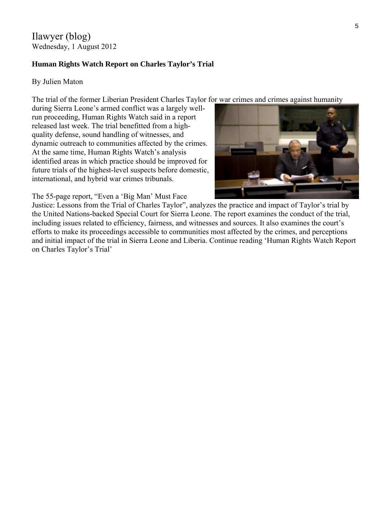Ilawyer (blog) Wednesday, 1 August 2012

## **Human Rights Watch Report on Charles Taylor's Trial**

## By Julien Maton

The trial of the former Liberian President Charles Taylor for war crimes and crimes against humanity

during Sierra Leone's armed conflict was a largely wellrun proceeding, Human Rights Watch said in a report released last week. The trial benefitted from a highquality defense, sound handling of witnesses, and dynamic outreach to communities affected by the crimes. At the same time, Human Rights Watch's analysis identified areas in which practice should be improved for future trials of the highest-level suspects before d omestic, international, and hybrid war crimes tribunals.

The 55-page report, "Even a 'Big Man' Must Face



Justice: Lessons from the Trial of Charles Taylor", analyzes the practice and impact of Taylor's trial by the United Nations-backed Special Court for Sierra Leone. The report examines the conduct of the trial, including issues related to efficiency, fairness, and witnesses and sources. It also examines the court's efforts to make its proceedings accessible to communities most affected by the crimes, and perceptions and initial impact of the trial in Sierra Leone and Liberia. Continue reading 'Human Rights Watch Report on Charles Taylor's Trial'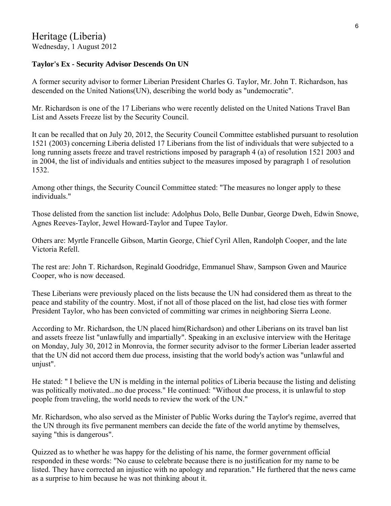# **Taylor's Ex - Security Advisor Descends On UN**

A former security advisor to former Liberian President Charles G. Taylor, Mr. John T. Richardson, has descended on the United Nations(UN), describing the world body as "undemocratic".

Mr. Richardson is one of the 17 Liberians who were recently delisted on the United Nations Travel Ban List and Assets Freeze list by the Security Council.

It can be recalled that on July 20, 2012, the Security Council Committee established pursuant to resolution 1521 (2003) concerning Liberia delisted 17 Liberians from the list of individuals that were subjected to a long running assets freeze and travel restrictions imposed by paragraph 4 (a) of resolution 1521 2003 and in 2004, the list of individuals and entities subject to the measures imposed by paragraph 1 of resolution 1532.

Among other things, the Security Council Committee stated: "The measures no longer apply to these individuals."

Those delisted from the sanction list include: Adolphus Dolo, Belle Dunbar, George Dweh, Edwin Snowe, Agnes Reeves-Taylor, Jewel Howard-Taylor and Tupee Taylor.

Others are: Myrtle Francelle Gibson, Martin George, Chief Cyril Allen, Randolph Cooper, and the late Victoria Refell.

The rest are: John T. Richardson, Reginald Goodridge, Emmanuel Shaw, Sampson Gwen and Maurice Cooper, who is now deceased.

These Liberians were previously placed on the lists because the UN had considered them as threat to the peace and stability of the country. Most, if not all of those placed on the list, had close ties with former President Taylor, who has been convicted of committing war crimes in neighboring Sierra Leone.

According to Mr. Richardson, the UN placed him(Richardson) and other Liberians on its travel ban list and assets freeze list "unlawfully and impartially". Speaking in an exclusive interview with the Heritage on Monday, July 30, 2012 in Monrovia, the former security advisor to the former Liberian leader asserted that the UN did not accord them due process, insisting that the world body's action was "unlawful and unjust".

He stated: " I believe the UN is melding in the internal politics of Liberia because the listing and delisting was politically motivated...no due process." He continued: "Without due process, it is unlawful to stop people from traveling, the world needs to review the work of the UN."

Mr. Richardson, who also served as the Minister of Public Works during the Taylor's regime, averred that the UN through its five permanent members can decide the fate of the world anytime by themselves, saying "this is dangerous".

Quizzed as to whether he was happy for the delisting of his name, the former government official responded in these words: "No cause to celebrate because there is no justification for my name to be listed. They have corrected an injustice with no apology and reparation." He furthered that the news came as a surprise to him because he was not thinking about it.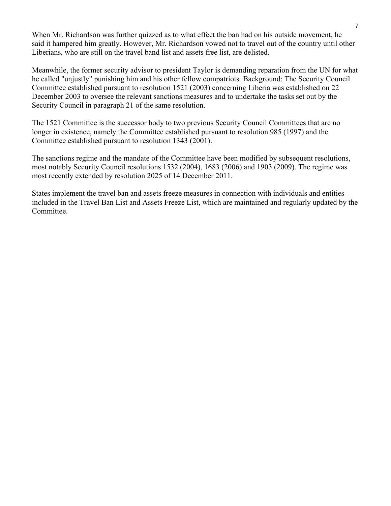When Mr. Richardson was further quizzed as to what effect the ban had on his outside movement, he said it hampered him greatly. However, Mr. Richardson vowed not to travel out of the country until other Liberians, who are still on the travel band list and assets free list, are delisted.

Meanwhile, the former security advisor to president Taylor is demanding reparation from the UN for what he called "unjustly" punishing him and his other fellow compatriots. Background: The Security Council Committee established pursuant to resolution 1521 (2003) concerning Liberia was established on 22 December 2003 to oversee the relevant sanctions measures and to undertake the tasks set out by the Security Council in paragraph 21 of the same resolution.

The 1521 Committee is the successor body to two previous Security Council Committees that are no longer in existence, namely the Committee established pursuant to resolution 985 (1997) and the Committee established pursuant to resolution 1343 (2001).

The sanctions regime and the mandate of the Committee have been modified by subsequent resolutions, most notably Security Council resolutions 1532 (2004), 1683 (2006) and 1903 (2009). The regime was most recently extended by resolution 2025 of 14 December 2011.

States implement the travel ban and assets freeze measures in connection with individuals and entities included in the Travel Ban List and Assets Freeze List, which are maintained and regularly updated by the Committee.